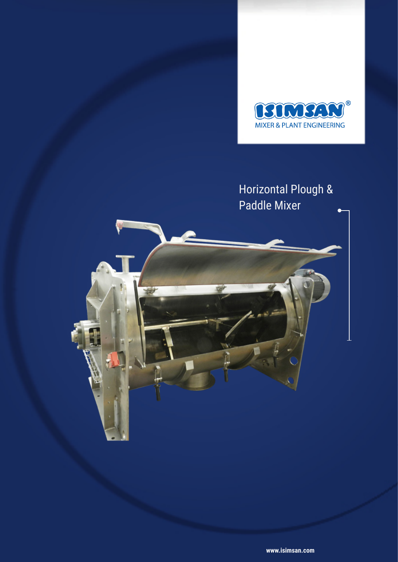

## Horizontal Plough & Paddle Mixer

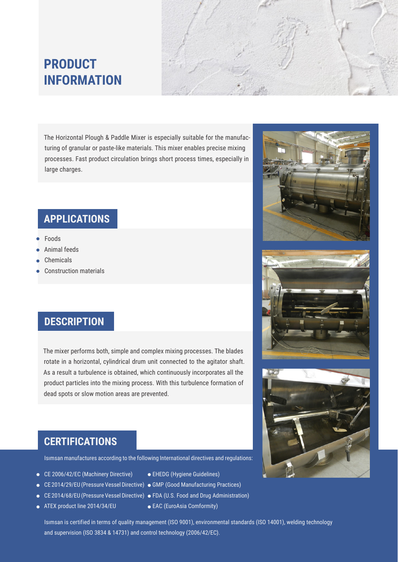# **PRODUCT INFORMATION**

The Horizontal Plough & Paddle Mixer is especially suitable for the manufacturing of granular or paste-like materials. This mixer enables precise mixing processes. Fast product circulation brings short process times, especially in large charges.

### **APPLICATIONS**

- Foods
- Animal feeds
- Chemicals
- Construction materials

#### **DESCRIPTION**

The mixer performs both, simple and complex mixing processes. The blades rotate in a horizontal, cylindrical drum unit connected to the agitator shaft. As a result a turbulence is obtained, which continuously incorporates all the product particles into the mixing process. With this turbulence formation of dead spots or slow motion areas are prevented.

#### **CERTIFICATIONS**

Isımsan manufactures according to the following International directives and regulations:

- CE 2006/42/EC (Machinery Directive)
- CE 2014/29/EU (Pressure Vessel Directive) GMP (Good Manufacturing Practices)
- 
- ATEX product line 2014/34/EU
- EHEDG (Hygiene Guidelines)
- 
- CE 2014/68/EU (Pressure Vessel Directive) FDA (U.S. Food and Drug Administration)



Isımsan is certified in terms of quality management (ISO 9001), environmental standards (ISO 14001), welding technology and supervision (ISO 3834 & 14731) and control technology (2006/42/EC).



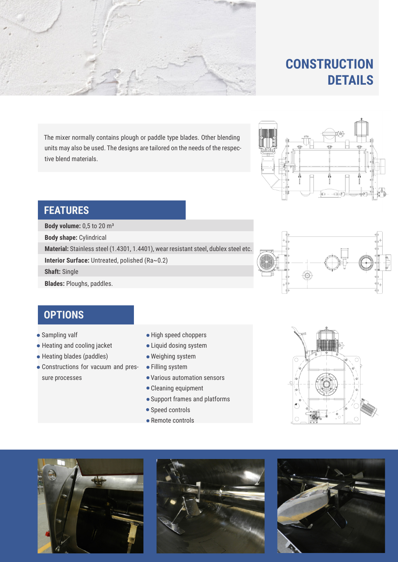The mixer normally contains plough or paddle type blades. Other blending units may also be used. The designs are tailored on the needs of the respective blend materials.

## **FEATURES**

**Body volume:** 0,5 to 20 m<sup>3</sup>

**Body shape:** Cylindrical

**Material:** Stainless steel (1.4301, 1.4401), wear resistant steel, dublex steel etc.

**Interior Surface:** Untreated, polished (Ra~0.2)

**Shaft:** Single

**Blades:** Ploughs, paddles.



- Sampling valf
- Heating and cooling jacket
- Heating blades (paddles)
- Constructions for vacuum and pressure processes
- High speed choppers
- Liquid dosing system
- Weighing system
- Filling system
- Various automation sensors
- Cleaning equipment
- Support frames and platforms
- Speed controls
- Remote controls













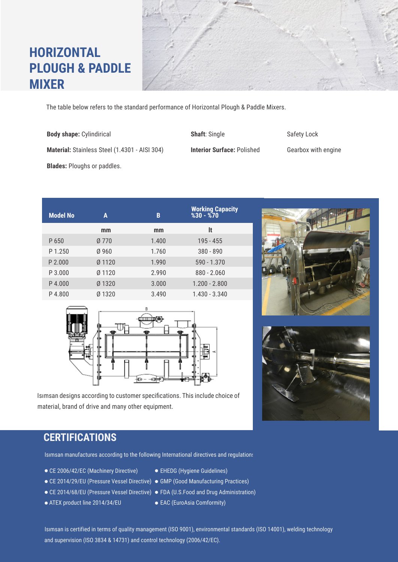# **HORIZONTAL PLOUGH & PADDLE MIXER**

The table below refers to the standard performance of Horizontal Plough & Paddle Mixers.

- **Body shape:** Cylindirical **Shaft**: Single Safety Lock **Material:** Stainless Steel (1.4301 - AISI 304) **Interior Surface:** Polished Gearbox with engine **Blades:** Ploughs or paddles.
- **mm mm lt** P 650 P 1.250 P 4.000 P 3.000 Ø 770 Ø 960 Ø 1320 Ø 1120 Ø 1120 1.400 1.760 3.000 2.990 1.990 195 - 455 380 - 890 1.200 - 2.800 880 - 2.060 590 - 1.370 P 4.800 Ø 1320 P 2.000 3.490 1.430 - 3.340 **A B Working Capacity Model No %30 - %70**



Isımsan designs according to customer specifications. This include choice of material, brand of drive and many other equipment.

#### **CERTIFICATIONS**

Isımsan manufactures according to the following International directives and regulations:

- CE 2006/42/EC (Machinery Directive)
- 
- 
- ATEX product line 2014/34/EU
- EHEDG (Hygiene Guidelines)
- CE 2014/29/EU (Pressure Vessel Directive) GMP (Good Manufacturing Practices)
- CE 2014/68/EU (Pressure Vessel Directive) FDA (U.S.Food and Drug Administration)
	- EAC (EuroAsia Comformity)

Isımsan is certified in terms of quality management (ISO 9001), environmental standards (ISO 14001), welding technology and supervision (ISO 3834 & 14731) and control technology (2006/42/EC).